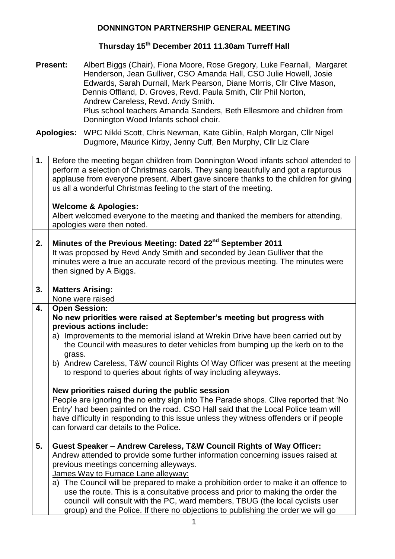# **Thursday 15th December 2011 11.30am Turreff Hall**

| <b>Present:</b>   |                      | Albert Biggs (Chair), Fiona Moore, Rose Gregory, Luke Fearnall, Margaret<br>Henderson, Jean Gulliver, CSO Amanda Hall, CSO Julie Howell, Josie<br>Edwards, Sarah Durnall, Mark Pearson, Diane Morris, Cllr Clive Mason,<br>Dennis Offland, D. Groves, Revd. Paula Smith, Cllr Phil Norton,<br>Andrew Careless, Revd. Andy Smith.<br>Plus school teachers Amanda Sanders, Beth Ellesmore and children from<br>Donnington Wood Infants school choir. |
|-------------------|----------------------|----------------------------------------------------------------------------------------------------------------------------------------------------------------------------------------------------------------------------------------------------------------------------------------------------------------------------------------------------------------------------------------------------------------------------------------------------|
| <b>Apologies:</b> |                      | WPC Nikki Scott, Chris Newman, Kate Giblin, Ralph Morgan, Cllr Nigel<br>Dugmore, Maurice Kirby, Jenny Cuff, Ben Murphy, Cllr Liz Clare                                                                                                                                                                                                                                                                                                             |
| 1.                |                      | Before the meeting began children from Donnington Wood infants school attended to<br>perform a selection of Christmas carols. They sang beautifully and got a rapturous<br>applause from everyone present. Albert gave sincere thanks to the children for giving<br>us all a wonderful Christmas feeling to the start of the meeting.                                                                                                              |
|                   |                      | <b>Welcome &amp; Apologies:</b><br>Albert welcomed everyone to the meeting and thanked the members for attending,<br>apologies were then noted.                                                                                                                                                                                                                                                                                                    |
| 2.                |                      | Minutes of the Previous Meeting: Dated 22 <sup>nd</sup> September 2011<br>It was proposed by Revd Andy Smith and seconded by Jean Gulliver that the<br>minutes were a true an accurate record of the previous meeting. The minutes were<br>then signed by A Biggs.                                                                                                                                                                                 |
| 3.                |                      | <b>Matters Arising:</b><br>None were raised                                                                                                                                                                                                                                                                                                                                                                                                        |
| 4.                | <b>Open Session:</b> | No new priorities were raised at September's meeting but progress with<br>previous actions include:<br>a) Improvements to the memorial island at Wrekin Drive have been carried out by                                                                                                                                                                                                                                                             |
|                   |                      | the Council with measures to deter vehicles from bumping up the kerb on to the                                                                                                                                                                                                                                                                                                                                                                     |
|                   | grass.               | b) Andrew Careless, T&W council Rights Of Way Officer was present at the meeting<br>to respond to queries about rights of way including alleyways.                                                                                                                                                                                                                                                                                                 |
|                   |                      | New priorities raised during the public session<br>People are ignoring the no entry sign into The Parade shops. Clive reported that 'No<br>Entry' had been painted on the road. CSO Hall said that the Local Police team will<br>have difficulty in responding to this issue unless they witness offenders or if people<br>can forward car details to the Police.                                                                                  |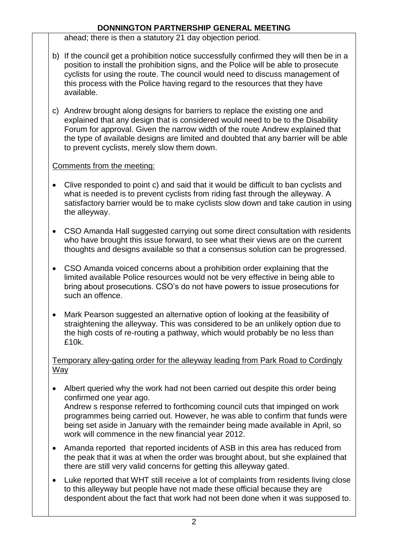ahead; there is then a statutory 21 day objection period.

- b) If the council get a prohibition notice successfully confirmed they will then be in a position to install the prohibition signs, and the Police will be able to prosecute cyclists for using the route. The council would need to discuss management of this process with the Police having regard to the resources that they have available.
- c) Andrew brought along designs for barriers to replace the existing one and explained that any design that is considered would need to be to the Disability Forum for approval. Given the narrow width of the route Andrew explained that the type of available designs are limited and doubted that any barrier will be able to prevent cyclists, merely slow them down.

# Comments from the meeting:

- Clive responded to point c) and said that it would be difficult to ban cyclists and what is needed is to prevent cyclists from riding fast through the alleyway. A satisfactory barrier would be to make cyclists slow down and take caution in using the alleyway.
- CSO Amanda Hall suggested carrying out some direct consultation with residents who have brought this issue forward, to see what their views are on the current thoughts and designs available so that a consensus solution can be progressed.
- CSO Amanda voiced concerns about a prohibition order explaining that the limited available Police resources would not be very effective in being able to bring about prosecutions. CSO's do not have powers to issue prosecutions for such an offence.
- Mark Pearson suggested an alternative option of looking at the feasibility of straightening the alleyway. This was considered to be an unlikely option due to the high costs of re-routing a pathway, which would probably be no less than £10k.

#### Temporary alley-gating order for the alleyway leading from Park Road to Cordingly Way

- Albert queried why the work had not been carried out despite this order being confirmed one year ago. Andrew s response referred to forthcoming council cuts that impinged on work programmes being carried out. However, he was able to confirm that funds were being set aside in January with the remainder being made available in April, so work will commence in the new financial year 2012.
- Amanda reported that reported incidents of ASB in this area has reduced from the peak that it was at when the order was brought about, but she explained that there are still very valid concerns for getting this alleyway gated.
- Luke reported that WHT still receive a lot of complaints from residents living close to this alleyway but people have not made these official because they are despondent about the fact that work had not been done when it was supposed to.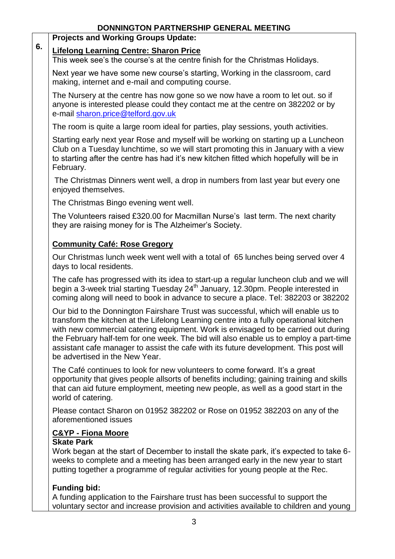# **Projects and Working Groups Update:**

#### **6. Lifelong Learning Centre: Sharon Price**

This week see's the course's at the centre finish for the Christmas Holidays.

Next year we have some new course's starting, Working in the classroom, card making, internet and e-mail and computing course.

The Nursery at the centre has now gone so we now have a room to let out. so if anyone is interested please could they contact me at the centre on 382202 or by e-mail [sharon.price@telford.gov.uk](mailto:sharon.price@telford.gov.uk) 

The room is quite a large room ideal for parties, play sessions, youth activities.

Starting early next year Rose and myself will be working on starting up a Luncheon Club on a Tuesday lunchtime, so we will start promoting this in January with a view to starting after the centre has had it's new kitchen fitted which hopefully will be in February.

The Christmas Dinners went well, a drop in numbers from last year but every one enjoyed themselves.

The Christmas Bingo evening went well.

The Volunteers raised £320.00 for Macmillan Nurse's last term. The next charity they are raising money for is The Alzheimer's Society.

## **Community Café: Rose Gregory**

Our Christmas lunch week went well with a total of 65 lunches being served over 4 days to local residents.

The cafe has progressed with its idea to start-up a regular luncheon club and we will begin a 3-week trial starting Tuesday 24<sup>th</sup> January, 12.30pm. People interested in coming along will need to book in advance to secure a place. Tel: 382203 or 382202

Our bid to the Donnington Fairshare Trust was successful, which will enable us to transform the kitchen at the Lifelong Learning centre into a fully operational kitchen with new commercial catering equipment. Work is envisaged to be carried out during the February half-tem for one week. The bid will also enable us to employ a part-time assistant cafe manager to assist the cafe with its future development. This post will be advertised in the New Year.

The Café continues to look for new volunteers to come forward. It's a great opportunity that gives people allsorts of benefits including; gaining training and skills that can aid future employment, meeting new people, as well as a good start in the world of catering.

Please contact Sharon on 01952 382202 or Rose on 01952 382203 on any of the aforementioned issues

#### **C&YP - Fiona Moore**

#### **Skate Park**

Work began at the start of December to install the skate park, it's expected to take 6 weeks to complete and a meeting has been arranged early in the new year to start putting together a programme of regular activities for young people at the Rec.

# **Funding bid:**

A funding application to the Fairshare trust has been successful to support the voluntary sector and increase provision and activities available to children and young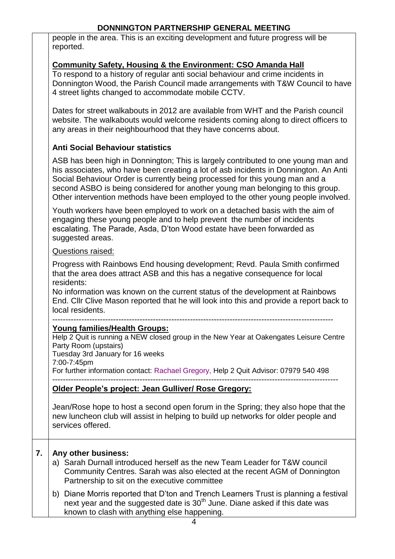people in the area. This is an exciting development and future progress will be reported.

#### **Community Safety, Housing & the Environment: CSO Amanda Hall**

To respond to a history of regular anti social behaviour and crime incidents in Donnington Wood, the Parish Council made arrangements with T&W Council to have 4 street lights changed to accommodate mobile CCTV.

Dates for street walkabouts in 2012 are available from WHT and the Parish council website. The walkabouts would welcome residents coming along to direct officers to any areas in their neighbourhood that they have concerns about.

## **Anti Social Behaviour statistics**

ASB has been high in Donnington; This is largely contributed to one young man and his associates, who have been creating a lot of asb incidents in Donnington. An Anti Social Behaviour Order is currently being processed for this young man and a second ASBO is being considered for another young man belonging to this group. Other intervention methods have been employed to the other young people involved.

Youth workers have been employed to work on a detached basis with the aim of engaging these young people and to help prevent the number of incidents escalating. The Parade, Asda, D'ton Wood estate have been forwarded as suggested areas.

#### Questions raised:

Progress with Rainbows End housing development; Revd. Paula Smith confirmed that the area does attract ASB and this has a negative consequence for local residents:

No information was known on the current status of the development at Rainbows End. Cllr Clive Mason reported that he will look into this and provide a report back to local residents.

#### ---------------------------------------------------------------------------------------------------------- **Young families/Health Groups:**

Help 2 Quit is running a NEW closed group in the New Year at Oakengates Leisure Centre Party Room (upstairs)

Tuesday 3rd January for 16 weeks

7:00-7:45pm

For further information contact: Rachael Gregory, Help 2 Quit Advisor: 07979 540 498

------------------------------------------------------------------------------------------------------------

#### **Older People's project: Jean Gulliver/ Rose Gregory:**

Jean/Rose hope to host a second open forum in the Spring; they also hope that the new luncheon club will assist in helping to build up networks for older people and services offered.

#### **7. Any other business:**

- a) Sarah Durnall introduced herself as the new Team Leader for T&W council Community Centres. Sarah was also elected at the recent AGM of Donnington Partnership to sit on the executive committee
- b) Diane Morris reported that D'ton and Trench Learners Trust is planning a festival next year and the suggested date is  $30<sup>th</sup>$  June. Diane asked if this date was known to clash with anything else happening.